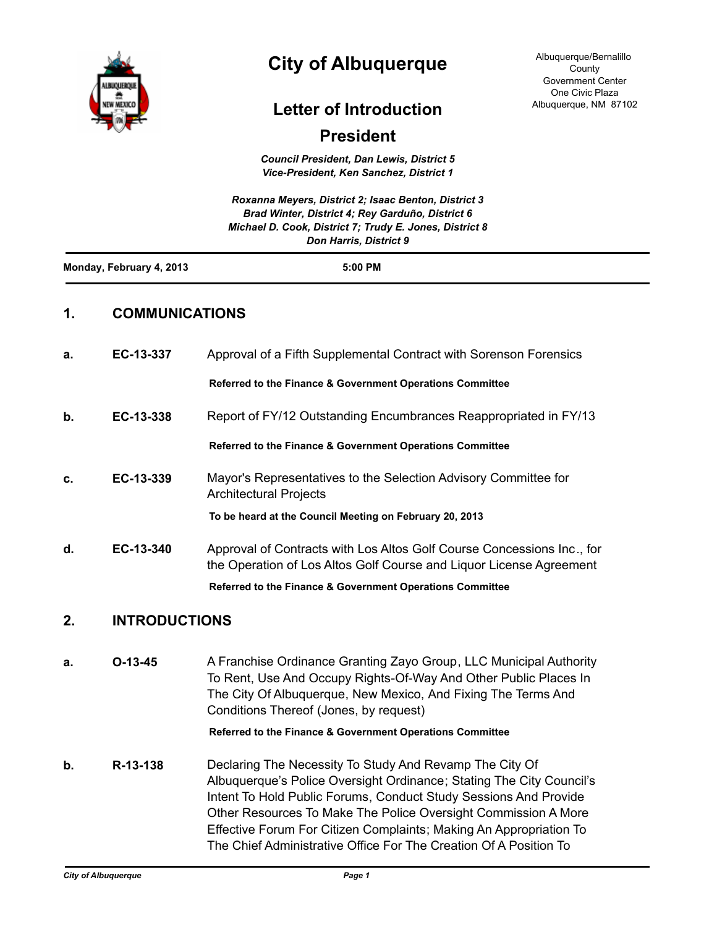

# **City of Albuquerque**

Albuquerque/Bernalillo County Government Center One Civic Plaza Albuquerque, NM 87102

# **Letter of Introduction**

# **President**

*Council President, Dan Lewis, District 5 Vice-President, Ken Sanchez, District 1*

|                          | Roxanna Meyers, District 2; Isaac Benton, District 3<br>Brad Winter, District 4: Rey Garduño, District 6<br>Michael D. Cook, District 7; Trudy E. Jones, District 8<br><b>Don Harris, District 9</b> |  |
|--------------------------|------------------------------------------------------------------------------------------------------------------------------------------------------------------------------------------------------|--|
| Monday, February 4, 2013 | $5:00$ PM                                                                                                                                                                                            |  |
|                          |                                                                                                                                                                                                      |  |

# **1. COMMUNICATIONS**

| a. | EC-13-337 | Approval of a Fifth Supplemental Contract with Sorenson Forensics                                                                             |  |
|----|-----------|-----------------------------------------------------------------------------------------------------------------------------------------------|--|
|    |           | <b>Referred to the Finance &amp; Government Operations Committee</b>                                                                          |  |
| b. | EC-13-338 | Report of FY/12 Outstanding Encumbrances Reappropriated in FY/13                                                                              |  |
|    |           | <b>Referred to the Finance &amp; Government Operations Committee</b>                                                                          |  |
| C. | EC-13-339 | Mayor's Representatives to the Selection Advisory Committee for<br><b>Architectural Projects</b>                                              |  |
|    |           | To be heard at the Council Meeting on February 20, 2013                                                                                       |  |
| d. | EC-13-340 | Approval of Contracts with Los Altos Golf Course Concessions Inc., for<br>the Operation of Los Altos Golf Course and Liquor License Agreement |  |
|    |           | <b>Referred to the Finance &amp; Government Operations Committee</b>                                                                          |  |
|    |           |                                                                                                                                               |  |

## **2. INTRODUCTIONS**

**a. O-13-45** A Franchise Ordinance Granting Zayo Group, LLC Municipal Authority To Rent, Use And Occupy Rights-Of-Way And Other Public Places In The City Of Albuquerque, New Mexico, And Fixing The Terms And Conditions Thereof (Jones, by request)

## **Referred to the Finance & Government Operations Committee**

**b. R-13-138** Declaring The Necessity To Study And Revamp The City Of Albuquerque's Police Oversight Ordinance; Stating The City Council's Intent To Hold Public Forums, Conduct Study Sessions And Provide Other Resources To Make The Police Oversight Commission A More Effective Forum For Citizen Complaints; Making An Appropriation To The Chief Administrative Office For The Creation Of A Position To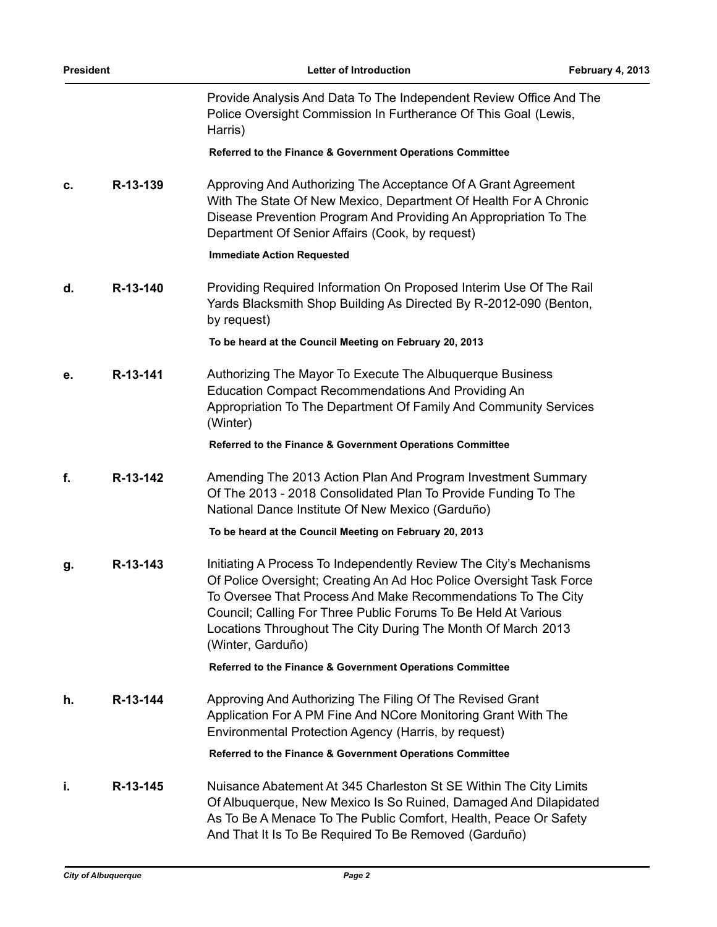| <b>President</b> |          | Letter of Introduction                                                                                                                                                                                                                                                                                                                                           | February 4, 2013 |
|------------------|----------|------------------------------------------------------------------------------------------------------------------------------------------------------------------------------------------------------------------------------------------------------------------------------------------------------------------------------------------------------------------|------------------|
|                  |          | Provide Analysis And Data To The Independent Review Office And The<br>Police Oversight Commission In Furtherance Of This Goal (Lewis,<br>Harris)                                                                                                                                                                                                                 |                  |
|                  |          | Referred to the Finance & Government Operations Committee                                                                                                                                                                                                                                                                                                        |                  |
| c.               | R-13-139 | Approving And Authorizing The Acceptance Of A Grant Agreement<br>With The State Of New Mexico, Department Of Health For A Chronic<br>Disease Prevention Program And Providing An Appropriation To The<br>Department Of Senior Affairs (Cook, by request)                                                                                                         |                  |
|                  |          | <b>Immediate Action Requested</b>                                                                                                                                                                                                                                                                                                                                |                  |
| d.               | R-13-140 | Providing Required Information On Proposed Interim Use Of The Rail<br>Yards Blacksmith Shop Building As Directed By R-2012-090 (Benton,<br>by request)                                                                                                                                                                                                           |                  |
|                  |          | To be heard at the Council Meeting on February 20, 2013                                                                                                                                                                                                                                                                                                          |                  |
| е.               | R-13-141 | Authorizing The Mayor To Execute The Albuquerque Business<br><b>Education Compact Recommendations And Providing An</b><br>Appropriation To The Department Of Family And Community Services<br>(Winter)                                                                                                                                                           |                  |
|                  |          | Referred to the Finance & Government Operations Committee                                                                                                                                                                                                                                                                                                        |                  |
| f.               | R-13-142 | Amending The 2013 Action Plan And Program Investment Summary<br>Of The 2013 - 2018 Consolidated Plan To Provide Funding To The<br>National Dance Institute Of New Mexico (Garduño)                                                                                                                                                                               |                  |
|                  |          | To be heard at the Council Meeting on February 20, 2013                                                                                                                                                                                                                                                                                                          |                  |
| g.               | R-13-143 | Initiating A Process To Independently Review The City's Mechanisms<br>Of Police Oversight; Creating An Ad Hoc Police Oversight Task Force<br>To Oversee That Process And Make Recommendations To The City<br>Council; Calling For Three Public Forums To Be Held At Various<br>Locations Throughout The City During The Month Of March 2013<br>(Winter, Garduño) |                  |
|                  |          | Referred to the Finance & Government Operations Committee                                                                                                                                                                                                                                                                                                        |                  |
| h.               | R-13-144 | Approving And Authorizing The Filing Of The Revised Grant<br>Application For A PM Fine And NCore Monitoring Grant With The<br>Environmental Protection Agency (Harris, by request)                                                                                                                                                                               |                  |
|                  |          | Referred to the Finance & Government Operations Committee                                                                                                                                                                                                                                                                                                        |                  |
| j,               | R-13-145 | Nuisance Abatement At 345 Charleston St SE Within The City Limits<br>Of Albuquerque, New Mexico Is So Ruined, Damaged And Dilapidated<br>As To Be A Menace To The Public Comfort, Health, Peace Or Safety<br>And That It Is To Be Required To Be Removed (Garduño)                                                                                               |                  |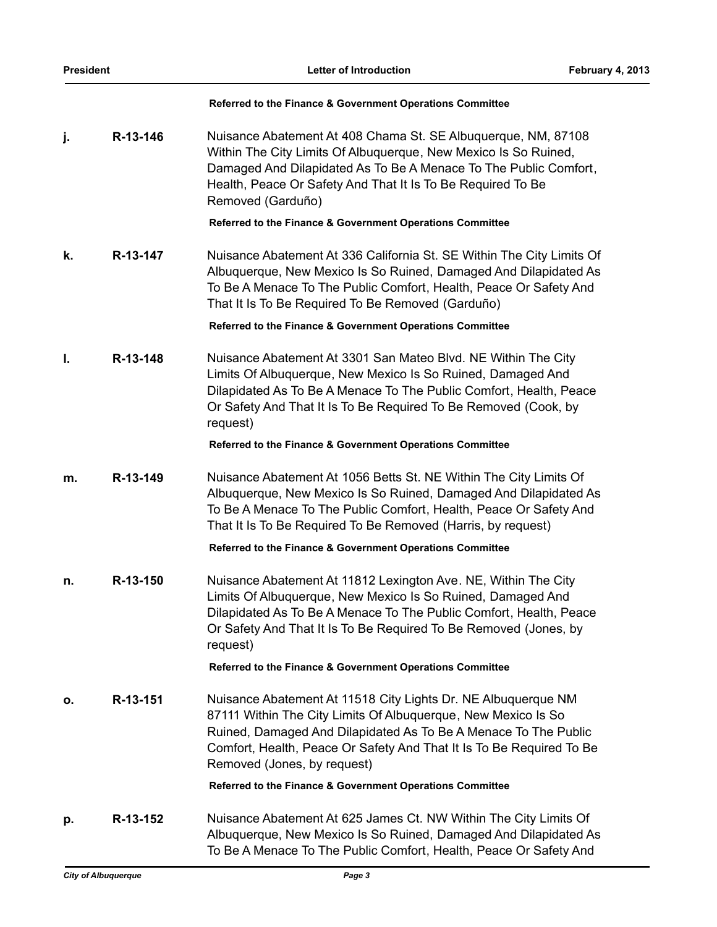#### **Referred to the Finance & Government Operations Committee**

**j. R-13-146** Nuisance Abatement At 408 Chama St. SE Albuquerque, NM, 87108 Within The City Limits Of Albuquerque, New Mexico Is So Ruined, Damaged And Dilapidated As To Be A Menace To The Public Comfort, Health, Peace Or Safety And That It Is To Be Required To Be Removed (Garduño)

**Referred to the Finance & Government Operations Committee**

**k. R-13-147** Nuisance Abatement At 336 California St. SE Within The City Limits Of Albuquerque, New Mexico Is So Ruined, Damaged And Dilapidated As To Be A Menace To The Public Comfort, Health, Peace Or Safety And That It Is To Be Required To Be Removed (Garduño)

**Referred to the Finance & Government Operations Committee**

**l. R-13-148** Nuisance Abatement At 3301 San Mateo Blvd. NE Within The City Limits Of Albuquerque, New Mexico Is So Ruined, Damaged And Dilapidated As To Be A Menace To The Public Comfort, Health, Peace Or Safety And That It Is To Be Required To Be Removed (Cook, by request)

### **Referred to the Finance & Government Operations Committee**

**m. R-13-149** Nuisance Abatement At 1056 Betts St. NE Within The City Limits Of Albuquerque, New Mexico Is So Ruined, Damaged And Dilapidated As To Be A Menace To The Public Comfort, Health, Peace Or Safety And That It Is To Be Required To Be Removed (Harris, by request)

**Referred to the Finance & Government Operations Committee**

**n. R-13-150** Nuisance Abatement At 11812 Lexington Ave. NE, Within The City Limits Of Albuquerque, New Mexico Is So Ruined, Damaged And Dilapidated As To Be A Menace To The Public Comfort, Health, Peace Or Safety And That It Is To Be Required To Be Removed (Jones, by request)

## **Referred to the Finance & Government Operations Committee**

**o. R-13-151** Nuisance Abatement At 11518 City Lights Dr. NE Albuquerque NM 87111 Within The City Limits Of Albuquerque, New Mexico Is So Ruined, Damaged And Dilapidated As To Be A Menace To The Public Comfort, Health, Peace Or Safety And That It Is To Be Required To Be Removed (Jones, by request)

**Referred to the Finance & Government Operations Committee**

**p. R-13-152** Nuisance Abatement At 625 James Ct. NW Within The City Limits Of Albuquerque, New Mexico Is So Ruined, Damaged And Dilapidated As To Be A Menace To The Public Comfort, Health, Peace Or Safety And